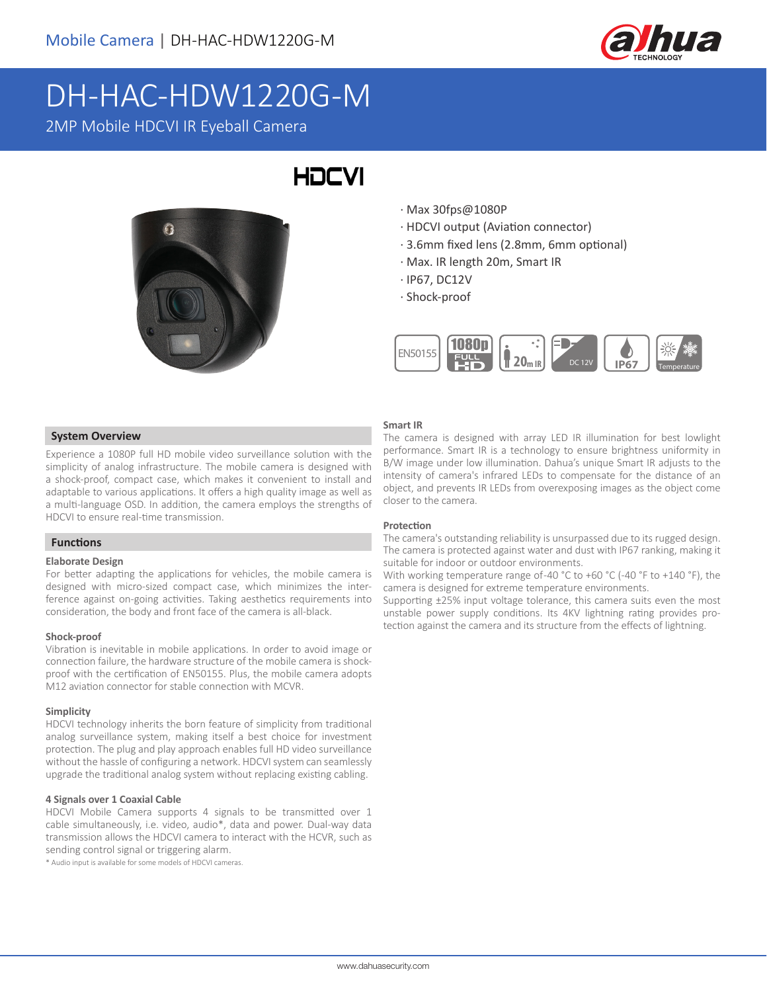

# DH-HAC-HDW1220G-M

2MP Mobile HDCVI IR Eyeball Camera



## **HDCVI**

- · Max 30fps@1080P
- · HDCVI output (Aviation connector)
- · 3.6mm fixed lens (2.8mm, 6mm optional)
- · Max. IR length 20m, Smart IR
- · IP67, DC12V
- · Shock-proof



### **Smart IR**

 **System Overview**

Experience a 1080P full HD mobile video surveillance solution with the simplicity of analog infrastructure. The mobile camera is designed with a shock-proof, compact case, which makes it convenient to install and adaptable to various applications. It offers a high quality image as well as a multi-language OSD. In addition, the camera employs the strengths of HDCVI to ensure real-time transmission.

### **Functions**

### **Elaborate Design**

For better adapting the applications for vehicles, the mobile camera is designed with micro-sized compact case, which minimizes the interference against on-going activities. Taking aesthetics requirements into consideration, the body and front face of the camera is all-black.

### **Shock-proof**

Vibration is inevitable in mobile applications. In order to avoid image or connection failure, the hardware structure of the mobile camera is shockproof with the certification of EN50155. Plus, the mobile camera adopts M12 aviation connector for stable connection with MCVR.

#### **Simplicity**

HDCVI technology inherits the born feature of simplicity from traditional analog surveillance system, making itself a best choice for investment protection. The plug and play approach enables full HD video surveillance without the hassle of configuring a network. HDCVI system can seamlessly upgrade the traditional analog system without replacing existing cabling.

### **4 Signals over 1 Coaxial Cable**

HDCVI Mobile Camera supports 4 signals to be transmitted over 1 cable simultaneously, i.e. video, audio\*, data and power. Dual-way data transmission allows the HDCVI camera to interact with the HCVR, such as sending control signal or triggering alarm.

\* Audio input is available for some models of HDCVI cameras.

The camera is designed with array LED IR illumination for best lowlight performance. Smart IR is a technology to ensure brightness uniformity in B/W image under low illumination. Dahua's unique Smart IR adjusts to the intensity of camera's infrared LEDs to compensate for the distance of an object, and prevents IR LEDs from overexposing images as the object come closer to the camera.

### **Protection**

The camera's outstanding reliability is unsurpassed due to its rugged design. The camera is protected against water and dust with IP67 ranking, making it suitable for indoor or outdoor environments.

With working temperature range of-40 °C to +60 °C (-40 °F to +140 °F), the camera is designed for extreme temperature environments.

Supporting ±25% input voltage tolerance, this camera suits even the most unstable power supply conditions. Its 4KV lightning rating provides protection against the camera and its structure from the effects of lightning.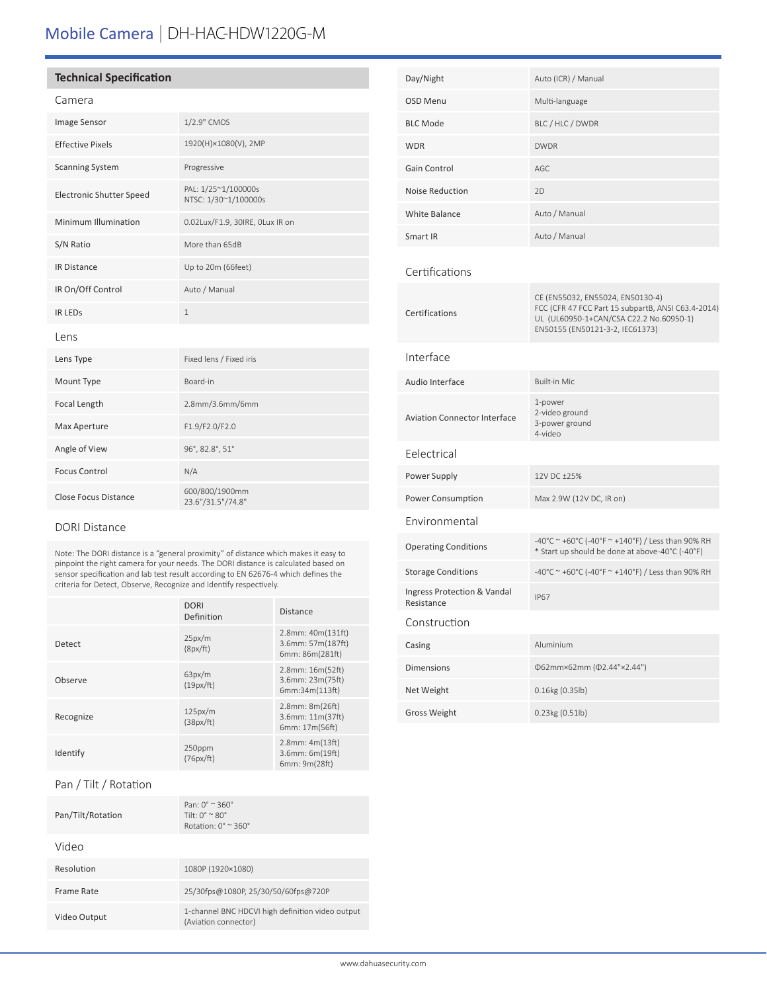### Mobile Camera | DH-HAC-HDW1220G-M

### **Technical Specification**

|--|

| <b>Image Sensor</b>             | 1/2.9" CMOS                                 |  |
|---------------------------------|---------------------------------------------|--|
| <b>Effective Pixels</b>         | 1920(H)×1080(V), 2MP                        |  |
| <b>Scanning System</b>          | Progressive                                 |  |
| <b>Electronic Shutter Speed</b> | PAL: 1/25~1/100000s<br>NTSC: 1/30~1/100000s |  |
| Minimum Illumination            | 0.02Lux/F1.9, 30IRE, OLux IR on             |  |
| S/N Ratio                       | More than 65dB                              |  |
| <b>IR Distance</b>              | Up to 20m (66feet)                          |  |
| IR On/Off Control               | Auto / Manual                               |  |
| <b>IR LEDS</b>                  | $\mathbf{1}$                                |  |
| Lens                            |                                             |  |
| Lens Type                       | Fixed lens / Fixed iris                     |  |
| Mount Type                      | Board-in                                    |  |
| Focal Length                    | 2.8mm/3.6mm/6mm                             |  |
| Max Aperture                    | F1.9/F2.0/F2.0                              |  |
| Angle of View                   | 96°, 82.8°, 51°                             |  |
| <b>Focus Control</b>            | N/A                                         |  |
| <b>Close Focus Distance</b>     | 600/800/1900mm<br>23.6"/31.5"/74.8"         |  |

### DORI Distance

Note: The DORI distance is a "general proximity" of distance which makes it easy to pinpoint the right camera for your needs. The DORI distance is calculated based on sensor specification and lab test result according to EN 62676-4 which defines the criteria for Detect, Observe, Recognize and Identify respectively.

|           | <b>DORI</b><br>Definition | <b>Distance</b>                                           |
|-----------|---------------------------|-----------------------------------------------------------|
| Detect    | 25px/m<br>(8px/ft)        | 2.8mm: 40m(131ft)<br>3.6mm: 57m(187ft)<br>6mm: 86m(281ft) |
| Observe   | 63px/m<br>(19px/ft)       | 2.8mm: 16m(52ft)<br>3.6mm: 23m(75ft)<br>6mm:34m(113ft)    |
| Recognize | 125px/m<br>(38px/ft)      | 2.8mm: 8m(26ft)<br>3.6mm: 11m(37ft)<br>6mm: 17m(56ft)     |
| Identify  | 250ppm<br>(76px/ft)       | $2.8$ mm: $4m(13ft)$<br>3.6mm: 6m(19ft)<br>6mm: 9m(28ft)  |

### Pan / Tilt / Rotation

| Pan/Tilt/Rotation | $Pan: 0^{\circ} \approx 360^{\circ}$<br>Tilt: $0^{\circ}$ $\sim$ 80 $^{\circ}$<br>Rotation: $0^\circ \approx 360^\circ$ |
|-------------------|-------------------------------------------------------------------------------------------------------------------------|
| Video             |                                                                                                                         |
| Resolution        | 1080P (1920×1080)                                                                                                       |
| Frame Rate        | 25/30fps@1080P, 25/30/50/60fps@720P                                                                                     |
| Video Output      | 1-channel BNC HDCVI high definition video output<br>(Aviation connector)                                                |

| Day/Night                                 | Auto (ICR) / Manual                                                                                                                                                  |
|-------------------------------------------|----------------------------------------------------------------------------------------------------------------------------------------------------------------------|
| OSD Menu                                  | Multi-language                                                                                                                                                       |
| <b>BLC Mode</b>                           | BLC / HLC / DWDR                                                                                                                                                     |
| <b>WDR</b>                                | <b>DWDR</b>                                                                                                                                                          |
| Gain Control                              | AGC                                                                                                                                                                  |
| <b>Noise Reduction</b>                    | 2D                                                                                                                                                                   |
| <b>White Balance</b>                      | Auto / Manual                                                                                                                                                        |
| Smart IR                                  | Auto / Manual                                                                                                                                                        |
| Certifications                            |                                                                                                                                                                      |
| Certifications                            | CE (EN55032, EN55024, EN50130-4)<br>FCC (CFR 47 FCC Part 15 subpartB, ANSI C63.4-2014)<br>UL (UL60950-1+CAN/CSA C22.2 No.60950-1)<br>EN50155 (EN50121-3-2, IEC61373) |
| Interface                                 |                                                                                                                                                                      |
| Audio Interface                           | <b>Built-in Mic</b>                                                                                                                                                  |
| <b>Aviation Connector Interface</b>       | 1-power<br>2-video ground<br>3-power ground<br>4-video                                                                                                               |
| Eelectrical                               |                                                                                                                                                                      |
| Power Supply                              | 12V DC ±25%                                                                                                                                                          |
| Power Consumption                         | Max 2.9W (12V DC, IR on)                                                                                                                                             |
| Environmental                             |                                                                                                                                                                      |
| <b>Operating Conditions</b>               | -40°C ~ +60°C (-40°F ~ +140°F) / Less than 90% RH<br>* Start up should be done at above-40°C (-40°F)                                                                 |
| <b>Storage Conditions</b>                 | -40°C ~ +60°C (-40°F ~ +140°F) / Less than 90% RH                                                                                                                    |
| Ingress Protection & Vandal<br>Resistance | <b>IP67</b>                                                                                                                                                          |
| Construction                              |                                                                                                                                                                      |
| Casing                                    | Aluminium                                                                                                                                                            |
| <b>Dimensions</b>                         | Φ62mm×62mm (Φ2.44"×2.44")                                                                                                                                            |
| Net Weight                                | 0.16kg (0.35lb)                                                                                                                                                      |
| <b>Gross Weight</b>                       | 0.23kg (0.51lb)                                                                                                                                                      |